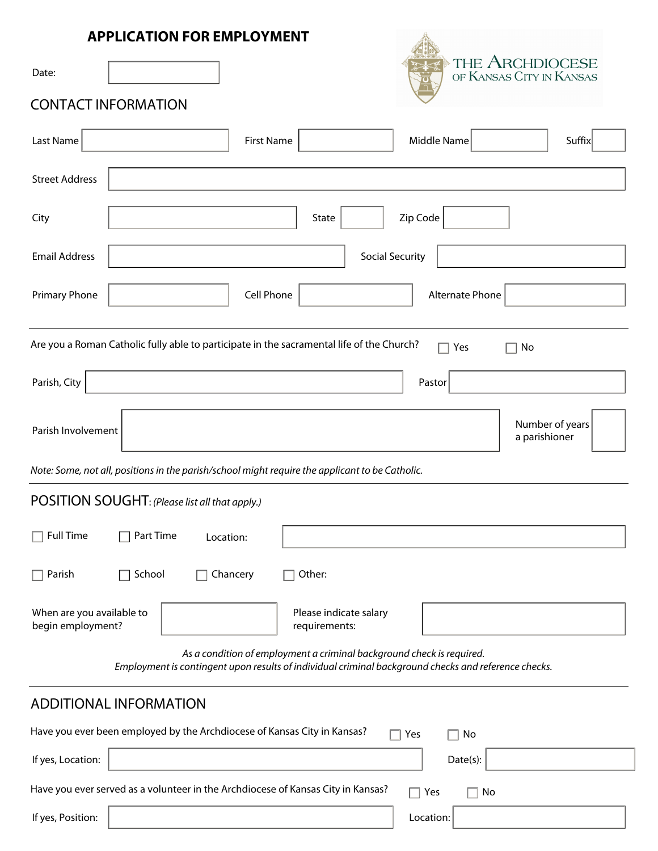### **APPLICATION FOR EMPLOYMENT**



# CONTACT INFORMATION

| Last Name                                      |                                                | <b>First Name</b>                                                                               | Middle Name                                                                                                                                                                   | Suffix                           |
|------------------------------------------------|------------------------------------------------|-------------------------------------------------------------------------------------------------|-------------------------------------------------------------------------------------------------------------------------------------------------------------------------------|----------------------------------|
| <b>Street Address</b>                          |                                                |                                                                                                 |                                                                                                                                                                               |                                  |
| City                                           |                                                | State                                                                                           | Zip Code                                                                                                                                                                      |                                  |
| <b>Email Address</b>                           |                                                |                                                                                                 | <b>Social Security</b>                                                                                                                                                        |                                  |
| <b>Primary Phone</b>                           |                                                | Cell Phone                                                                                      | Alternate Phone                                                                                                                                                               |                                  |
|                                                |                                                | Are you a Roman Catholic fully able to participate in the sacramental life of the Church?       | Yes                                                                                                                                                                           | No                               |
| Parish, City                                   |                                                |                                                                                                 | Pastor                                                                                                                                                                        |                                  |
| Parish Involvement                             |                                                |                                                                                                 |                                                                                                                                                                               | Number of years<br>a parishioner |
|                                                |                                                | Note: Some, not all, positions in the parish/school might require the applicant to be Catholic. |                                                                                                                                                                               |                                  |
|                                                | POSITION SOUGHT: (Please list all that apply.) |                                                                                                 |                                                                                                                                                                               |                                  |
| <b>Full Time</b>                               | Part Time                                      | Location:                                                                                       |                                                                                                                                                                               |                                  |
| Parish                                         | School                                         | Other:<br>Chancery                                                                              |                                                                                                                                                                               |                                  |
| When are you available to<br>begin employment? |                                                | Please indicate salary<br>requirements:                                                         |                                                                                                                                                                               |                                  |
|                                                |                                                |                                                                                                 | As a condition of employment a criminal background check is required.<br>Employment is contingent upon results of individual criminal background checks and reference checks. |                                  |
|                                                | <b>ADDITIONAL INFORMATION</b>                  |                                                                                                 |                                                                                                                                                                               |                                  |
|                                                |                                                | Have you ever been employed by the Archdiocese of Kansas City in Kansas?                        | Yes<br>No                                                                                                                                                                     |                                  |

|                   |                                                                                  | . | .           |  |
|-------------------|----------------------------------------------------------------------------------|---|-------------|--|
| If yes, Location: |                                                                                  |   | Date(s):    |  |
|                   | Have you ever served as a volunteer in the Archdiocese of Kansas City in Kansas? |   | Yes<br>□ No |  |
| If yes, Position: |                                                                                  |   | Location:   |  |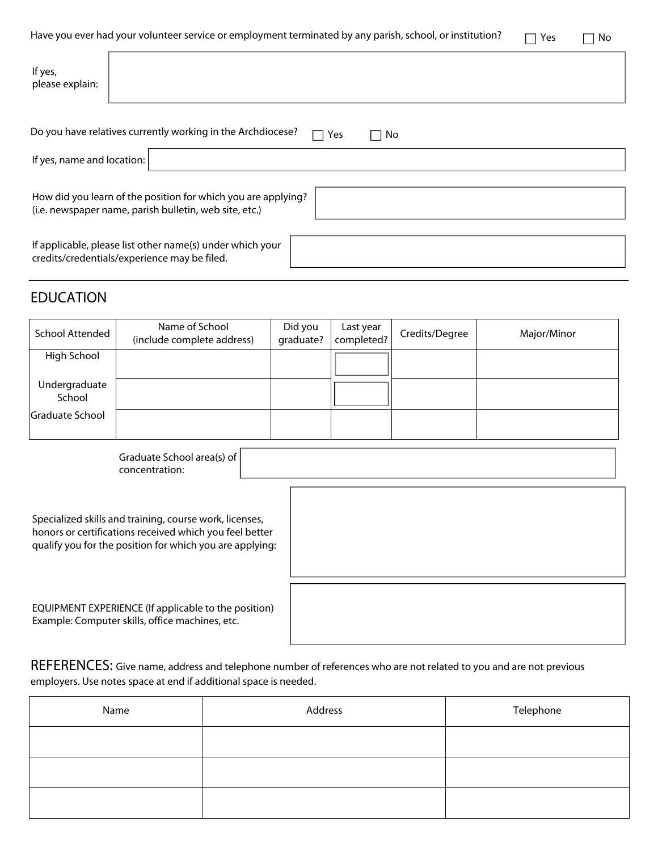Have you ever had your volunteer service or employment terminated by any parish, school, or institution?  $\Box$  Yes  $\Box$  No

| If yes,<br>please explain: |                                                                                                                         |
|----------------------------|-------------------------------------------------------------------------------------------------------------------------|
|                            | Do you have relatives currently working in the Archdiocese?                                                             |
|                            | Yes<br>No.                                                                                                              |
| If yes, name and location: |                                                                                                                         |
|                            | How did you learn of the position for which you are applying?<br>(i.e. newspaper name, parish bulletin, web site, etc.) |
|                            | If applicable, please list other name(s) under which your<br>credits/credentials/experience may be filed.               |

### EDUCATION

| <b>School Attended</b>  | Name of School<br>(include complete address) | Did you<br>graduate? | Last year<br>completed? | Credits/Degree | Major/Minor |
|-------------------------|----------------------------------------------|----------------------|-------------------------|----------------|-------------|
| High School             |                                              |                      | $\blacktriangledown$    |                |             |
| Undergraduate<br>School |                                              |                      | $\blacktriangledown$    |                |             |
| Graduate School         |                                              |                      |                         |                |             |
|                         | Graduate School area(s) of                   |                      |                         |                |             |

concentration:

Specialized skills and training, course work, licenses, honors or certifications received which you feel better qualify you for the position for which you are applying:

EQUIPMENT EXPERIENCE (If applicable to the position) Example: Computer skills, office machines, etc.

REFERENCES: Give name, address and telephone number of references who are not related to you and are not previous employers. Use notes space at end if additional space is needed.

| Name | Address | Telephone |
|------|---------|-----------|
|      |         |           |
|      |         |           |
|      |         |           |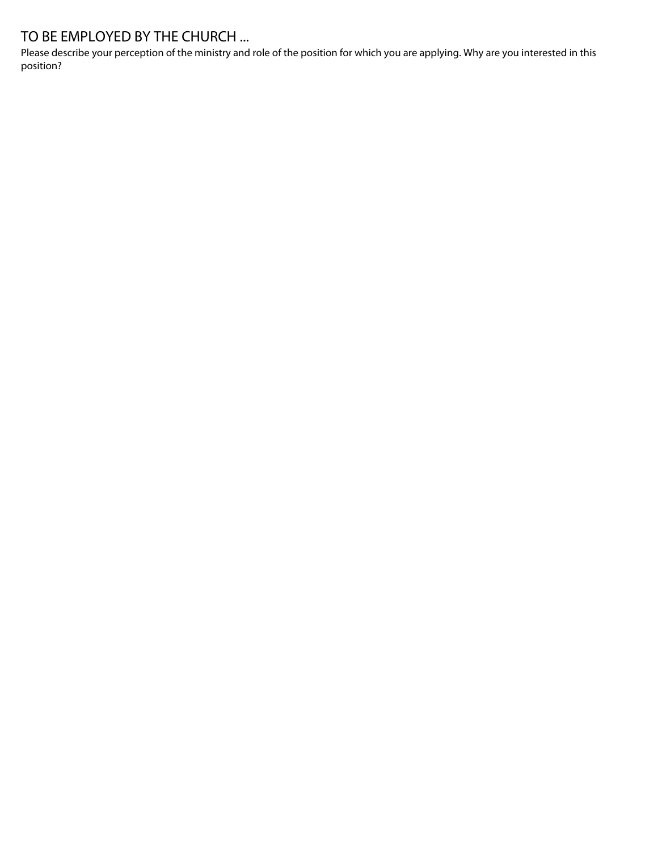## TO BE EMPLOYED BY THE CHURCH ...

Please describe your perception of the ministry and role of the position for which you are applying. Why are you interested in this position?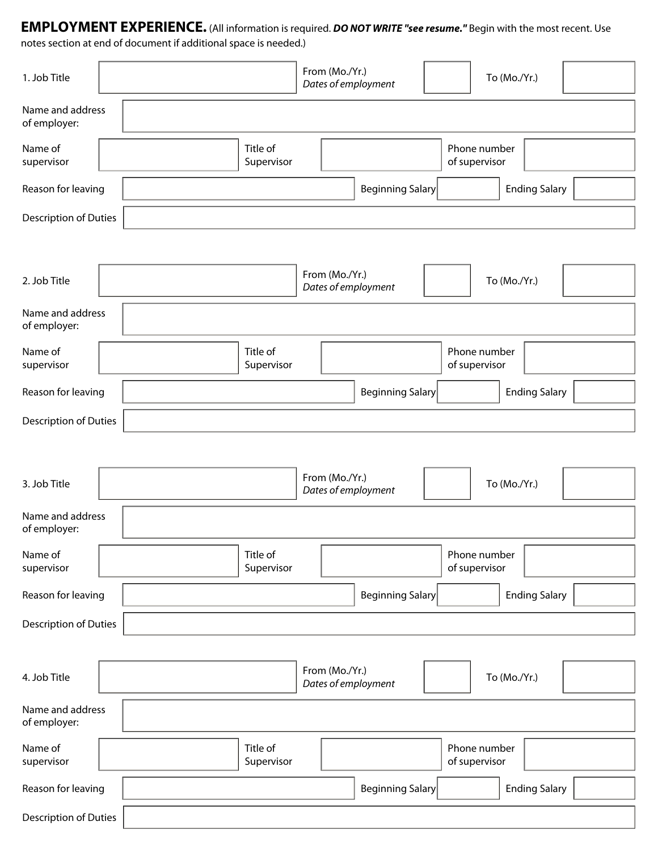**EMPLOYMENT EXPERIENCE.** (All information is required. *DO NOT WRITE "see resume."* Begin with the most recent. Use

notes section at end of document if additional space is needed.)

| 1. Job Title                     | From (Mo./Yr.)<br>Dates of employment |  |                | To (Mo./Yr.)            |                               |              |                      |  |
|----------------------------------|---------------------------------------|--|----------------|-------------------------|-------------------------------|--------------|----------------------|--|
| Name and address<br>of employer: |                                       |  |                |                         |                               |              |                      |  |
| Name of<br>supervisor            | Title of<br>Supervisor                |  |                |                         | Phone number<br>of supervisor |              |                      |  |
| Reason for leaving               |                                       |  |                | <b>Beginning Salary</b> |                               |              | <b>Ending Salary</b> |  |
| Description of Duties            |                                       |  |                |                         |                               |              |                      |  |
|                                  |                                       |  |                |                         |                               |              |                      |  |
| 2. Job Title                     |                                       |  | From (Mo./Yr.) | Dates of employment     |                               | To (Mo./Yr.) |                      |  |
| Name and address<br>of employer: |                                       |  |                |                         |                               |              |                      |  |
| Name of<br>supervisor            | Title of<br>Supervisor                |  |                |                         | Phone number<br>of supervisor |              |                      |  |
| Reason for leaving               |                                       |  |                | Beginning Salary        |                               |              | <b>Ending Salary</b> |  |
| Description of Duties            |                                       |  |                |                         |                               |              |                      |  |
|                                  |                                       |  |                |                         |                               |              |                      |  |
| 3. Job Title                     |                                       |  | From (Mo./Yr.) | Dates of employment     |                               | To (Mo./Yr.) |                      |  |
| Name and address<br>of employer: |                                       |  |                |                         |                               |              |                      |  |
| Name of<br>supervisor            | Title of<br>Supervisor                |  |                |                         | Phone number<br>of supervisor |              |                      |  |
| Reason for leaving               |                                       |  |                | <b>Beginning Salary</b> |                               |              | <b>Ending Salary</b> |  |
| Description of Duties            |                                       |  |                |                         |                               |              |                      |  |
|                                  |                                       |  |                |                         |                               |              |                      |  |
| 4. Job Title                     |                                       |  | From (Mo./Yr.) | Dates of employment     |                               | To (Mo./Yr.) |                      |  |
| Name and address<br>of employer: |                                       |  |                |                         |                               |              |                      |  |
| Name of<br>supervisor            | Title of<br>Supervisor                |  |                |                         | Phone number<br>of supervisor |              |                      |  |
| Reason for leaving               |                                       |  |                | <b>Beginning Salary</b> |                               |              | <b>Ending Salary</b> |  |
| Description of Duties            |                                       |  |                |                         |                               |              |                      |  |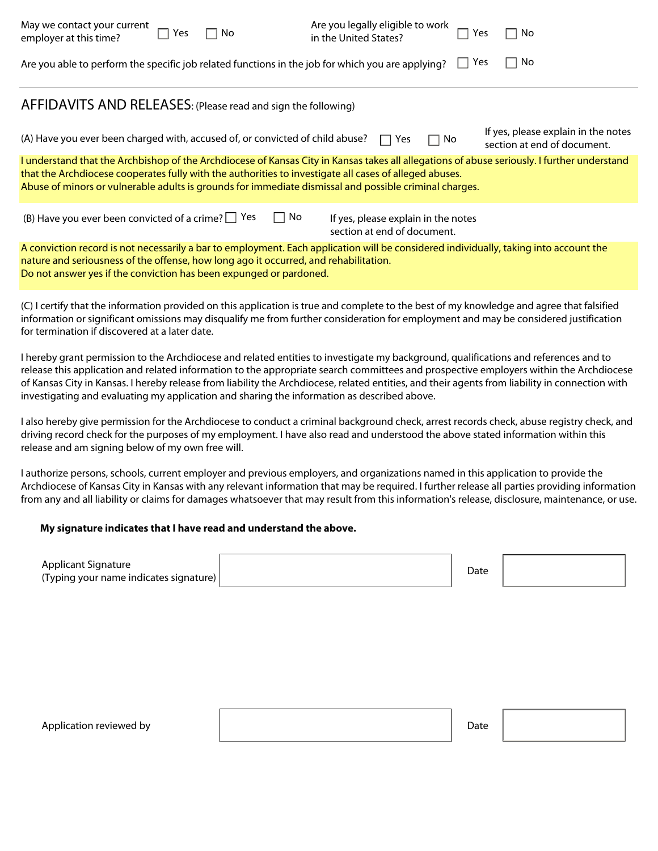| May we contact your current<br>Yes<br>No<br>employer at this time?                                                                                                                                                                                                                                                                                              | Are you legally eligible to work<br>in the United States?                 | Yes | No.                                                                |
|-----------------------------------------------------------------------------------------------------------------------------------------------------------------------------------------------------------------------------------------------------------------------------------------------------------------------------------------------------------------|---------------------------------------------------------------------------|-----|--------------------------------------------------------------------|
| Are you able to perform the specific job related functions in the job for which you are applying?                                                                                                                                                                                                                                                               |                                                                           | Yes | No                                                                 |
| AFFIDAVITS AND RELEASES: (Please read and sign the following)                                                                                                                                                                                                                                                                                                   |                                                                           |     |                                                                    |
| (A) Have you ever been charged with, accused of, or convicted of child abuse?                                                                                                                                                                                                                                                                                   | Yes                                                                       | No  | If yes, please explain in the notes<br>section at end of document. |
| I understand that the Archbishop of the Archdiocese of Kansas City in Kansas takes all allegations of abuse seriously. I further understand<br>that the Archdiocese cooperates fully with the authorities to investigate all cases of alleged abuses.<br>Abuse of minors or vulnerable adults is grounds for immediate dismissal and possible criminal charges. |                                                                           |     |                                                                    |
| (B) Have you ever been convicted of a crime? $\square$<br>Yes                                                                                                                                                                                                                                                                                                   | No.<br>If yes, please explain in the notes<br>section at end of document. |     |                                                                    |
| A conviction record is not necessarily a bar to employment. Each application will be considered individually, taking into account the<br>nature and seriousness of the offense, how long ago it occurred, and rehabilitation.<br>Do not answer yes if the conviction has been expunged or pardoned.                                                             |                                                                           |     |                                                                    |

(C) I certify that the information provided on this application is true and complete to the best of my knowledge and agree that falsified information or significant omissions may disqualify me from further consideration for employment and may be considered justification for termination if discovered at a later date.

I hereby grant permission to the Archdiocese and related entities to investigate my background, qualifications and references and to release this application and related information to the appropriate search committees and prospective employers within the Archdiocese of Kansas City in Kansas. I hereby release from liability the Archdiocese, related entities, and their agents from liability in connection with investigating and evaluating my application and sharing the information as described above.

I also hereby give permission for the Archdiocese to conduct a criminal background check, arrest records check, abuse registry check, and driving record check for the purposes of my employment. I have also read and understood the above stated information within this release and am signing below of my own free will.

I authorize persons, schools, current employer and previous employers, and organizations named in this application to provide the Archdiocese of Kansas City in Kansas with any relevant information that may be required. I further release all parties providing information from any and all liability or claims for damages whatsoever that may result from this information's release, disclosure, maintenance, or use.

#### **My signature indicates that I have read and understand the above.**

| <b>Applicant Signature</b>             | Date |  |
|----------------------------------------|------|--|
| (Typing your name indicates signature) |      |  |

Application reviewed by The Contract of the Date of the Date of the Date of the Date of the Date of the Date